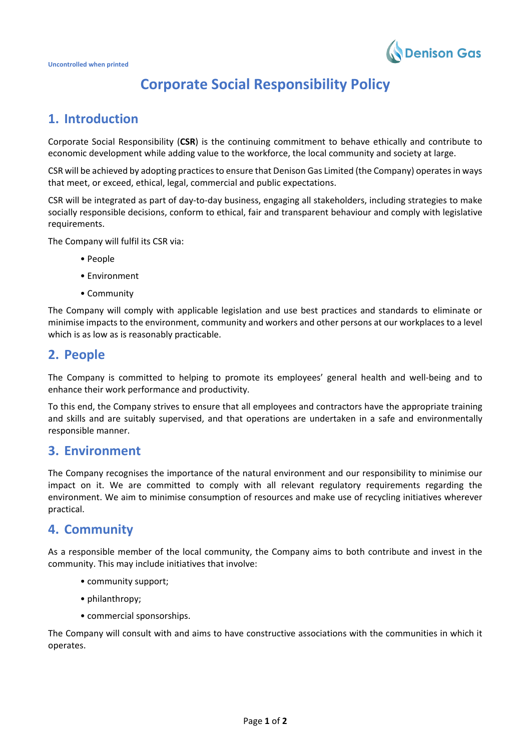

# **Corporate Social Responsibility Policy**

## **1. Introduction**

Corporate Social Responsibility (**CSR**) is the continuing commitment to behave ethically and contribute to economic development while adding value to the workforce, the local community and society at large.

CSR will be achieved by adopting practices to ensure that Denison Gas Limited (the Company) operates in ways that meet, or exceed, ethical, legal, commercial and public expectations.

CSR will be integrated as part of day-to-day business, engaging all stakeholders, including strategies to make socially responsible decisions, conform to ethical, fair and transparent behaviour and comply with legislative requirements.

The Company will fulfil its CSR via:

- People
- Environment
- Community

The Company will comply with applicable legislation and use best practices and standards to eliminate or minimise impacts to the environment, community and workers and other persons at our workplaces to a level which is as low as is reasonably practicable.

### **2. People**

The Company is committed to helping to promote its employees' general health and well-being and to enhance their work performance and productivity.

To this end, the Company strives to ensure that all employees and contractors have the appropriate training and skills and are suitably supervised, and that operations are undertaken in a safe and environmentally responsible manner.

#### **3. Environment**

The Company recognises the importance of the natural environment and our responsibility to minimise our impact on it. We are committed to comply with all relevant regulatory requirements regarding the environment. We aim to minimise consumption of resources and make use of recycling initiatives wherever practical.

### **4. Community**

As a responsible member of the local community, the Company aims to both contribute and invest in the community. This may include initiatives that involve:

- community support;
- philanthropy;
- commercial sponsorships.

The Company will consult with and aims to have constructive associations with the communities in which it operates.